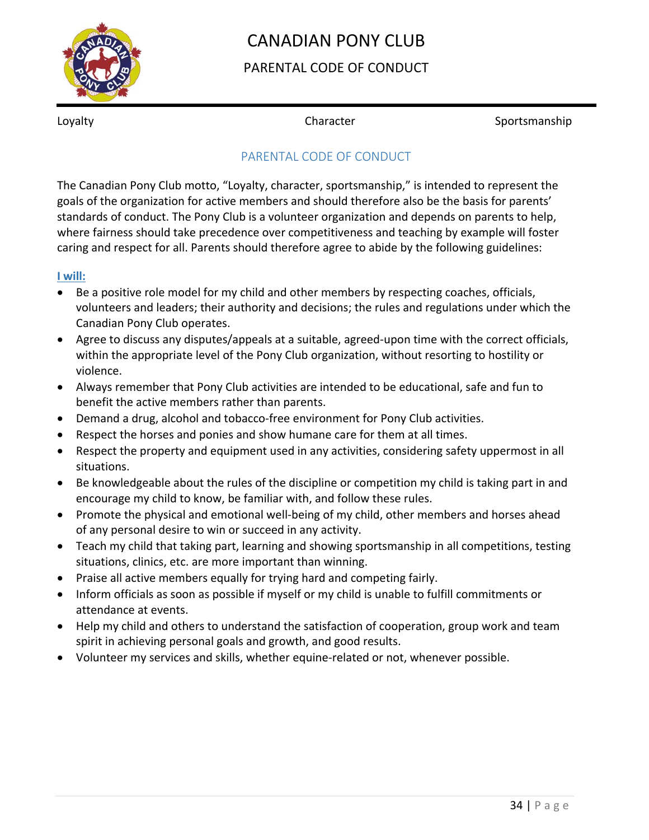

# CANADIAN PONY CLUB

### PARENTAL CODE OF CONDUCT

Loyalty **Subsetter** Character **Sportsmanship** Character Sportsmanship

### PARENTAL CODE OF CONDUCT

The Canadian Pony Club motto, "Loyalty, character, sportsmanship," is intended to represent the goals of the organization for active members and should therefore also be the basis for parents' standards of conduct. The Pony Club is a volunteer organization and depends on parents to help, where fairness should take precedence over competitiveness and teaching by example will foster caring and respect for all. Parents should therefore agree to abide by the following guidelines:

#### **I will:**

- Be a positive role model for my child and other members by respecting coaches, officials, volunteers and leaders; their authority and decisions; the rules and regulations under which the Canadian Pony Club operates.
- Agree to discuss any disputes/appeals at a suitable, agreed-upon time with the correct officials, within the appropriate level of the Pony Club organization, without resorting to hostility or violence.
- Always remember that Pony Club activities are intended to be educational, safe and fun to benefit the active members rather than parents.
- Demand a drug, alcohol and tobacco‐free environment for Pony Club activities.
- Respect the horses and ponies and show humane care for them at all times.
- Respect the property and equipment used in any activities, considering safety uppermost in all situations.
- Be knowledgeable about the rules of the discipline or competition my child is taking part in and encourage my child to know, be familiar with, and follow these rules.
- Promote the physical and emotional well-being of my child, other members and horses ahead of any personal desire to win or succeed in any activity.
- Teach my child that taking part, learning and showing sportsmanship in all competitions, testing situations, clinics, etc. are more important than winning.
- Praise all active members equally for trying hard and competing fairly.
- Inform officials as soon as possible if myself or my child is unable to fulfill commitments or attendance at events.
- Help my child and others to understand the satisfaction of cooperation, group work and team spirit in achieving personal goals and growth, and good results.
- Volunteer my services and skills, whether equine-related or not, whenever possible.